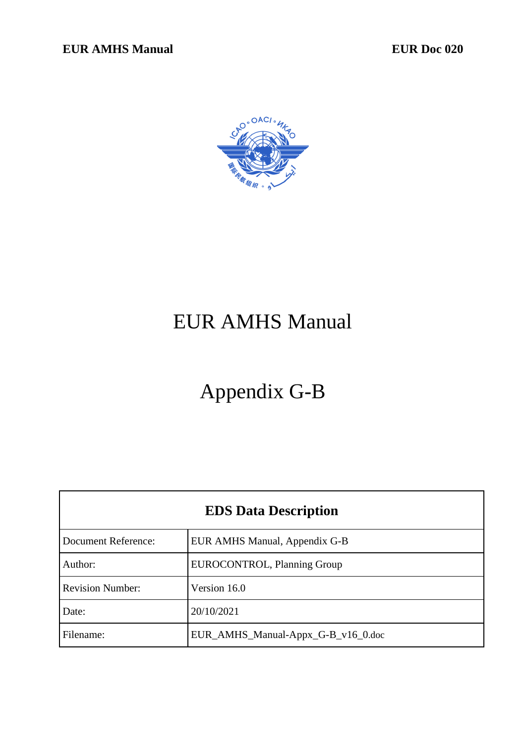

# EUR AMHS Manual

# Appendix G-B

| <b>EDS Data Description</b> |                                    |
|-----------------------------|------------------------------------|
| <b>Document Reference:</b>  | EUR AMHS Manual, Appendix G-B      |
| Author:                     | EUROCONTROL, Planning Group        |
| <b>Revision Number:</b>     | Version 16.0                       |
| Date:                       | 20/10/2021                         |
| Filename:                   | EUR_AMHS_Manual-Appx_G-B_v16_0.doc |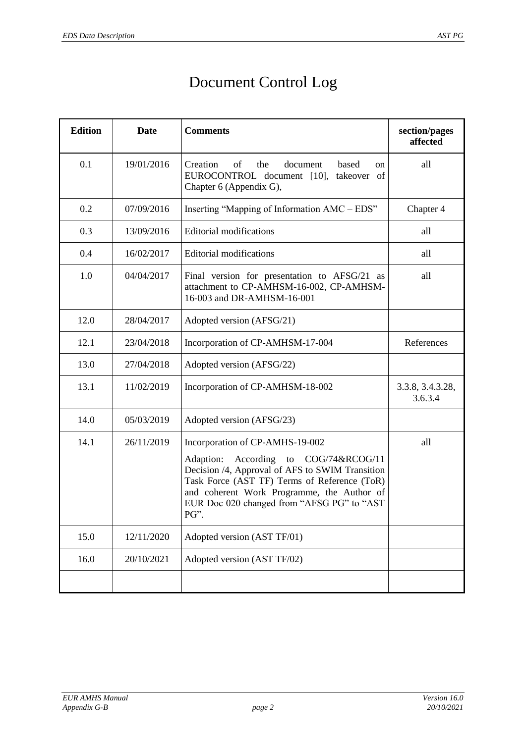# Document Control Log

| <b>Edition</b> | <b>Date</b> | <b>Comments</b>                                                                                                                                                                                                                                                                    | section/pages<br>affected   |
|----------------|-------------|------------------------------------------------------------------------------------------------------------------------------------------------------------------------------------------------------------------------------------------------------------------------------------|-----------------------------|
| 0.1            | 19/01/2016  | Creation<br>document<br>of<br>the<br>based<br>on<br>EUROCONTROL document [10], takeover of<br>Chapter 6 (Appendix G),                                                                                                                                                              | all                         |
| 0.2            | 07/09/2016  | Inserting "Mapping of Information AMC – EDS"                                                                                                                                                                                                                                       | Chapter 4                   |
| 0.3            | 13/09/2016  | <b>Editorial modifications</b>                                                                                                                                                                                                                                                     | all                         |
| 0.4            | 16/02/2017  | Editorial modifications                                                                                                                                                                                                                                                            | all                         |
| 1.0            | 04/04/2017  | Final version for presentation to AFSG/21 as<br>attachment to CP-AMHSM-16-002, CP-AMHSM-<br>16-003 and DR-AMHSM-16-001                                                                                                                                                             | all                         |
| 12.0           | 28/04/2017  | Adopted version (AFSG/21)                                                                                                                                                                                                                                                          |                             |
| 12.1           | 23/04/2018  | Incorporation of CP-AMHSM-17-004                                                                                                                                                                                                                                                   | References                  |
| 13.0           | 27/04/2018  | Adopted version (AFSG/22)                                                                                                                                                                                                                                                          |                             |
| 13.1           | 11/02/2019  | Incorporation of CP-AMHSM-18-002                                                                                                                                                                                                                                                   | 3.3.8, 3.4.3.28,<br>3.6.3.4 |
| 14.0           | 05/03/2019  | Adopted version (AFSG/23)                                                                                                                                                                                                                                                          |                             |
| 14.1           | 26/11/2019  | Incorporation of CP-AMHS-19-002<br>According to COG/74&RCOG/11<br>Adaption:<br>Decision /4, Approval of AFS to SWIM Transition<br>Task Force (AST TF) Terms of Reference (ToR)<br>and coherent Work Programme, the Author of<br>EUR Doc 020 changed from "AFSG PG" to "AST<br>PG". | all                         |
| 15.0           | 12/11/2020  | Adopted version (AST TF/01)                                                                                                                                                                                                                                                        |                             |
| 16.0           | 20/10/2021  | Adopted version (AST TF/02)                                                                                                                                                                                                                                                        |                             |
|                |             |                                                                                                                                                                                                                                                                                    |                             |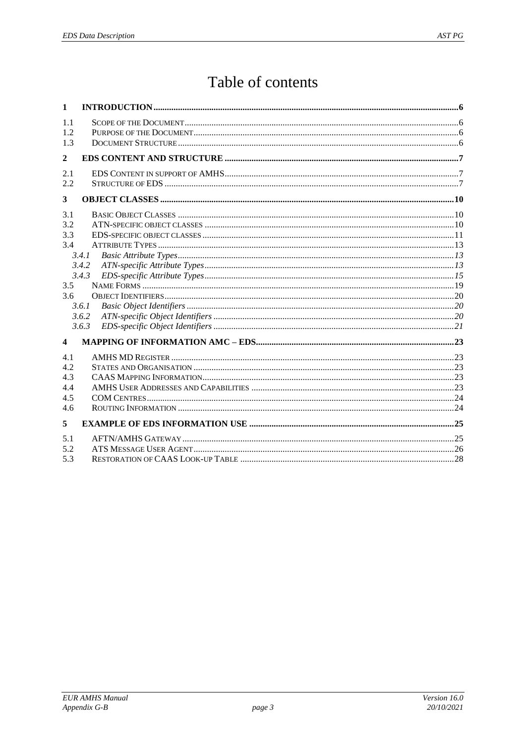# Table of contents

| 1                                      |                                                    |  |
|----------------------------------------|----------------------------------------------------|--|
| 1.1<br>1.2<br>1.3                      |                                                    |  |
| $\mathbf{2}$                           |                                                    |  |
| 2.1<br>2.2                             |                                                    |  |
| 3                                      |                                                    |  |
| 3.1<br>3.2<br>3.3<br>3.4<br>3.5<br>3.6 | 3.4.1<br>3.4.2<br>3.4.3<br>3.6.1<br>3.6.2<br>3.6.3 |  |
| $\overline{\mathbf{4}}$                |                                                    |  |
| 4.1<br>4.2<br>4.3<br>4.4<br>4.5<br>4.6 |                                                    |  |
| 5                                      |                                                    |  |
| 5.1<br>5.2<br>5.3                      |                                                    |  |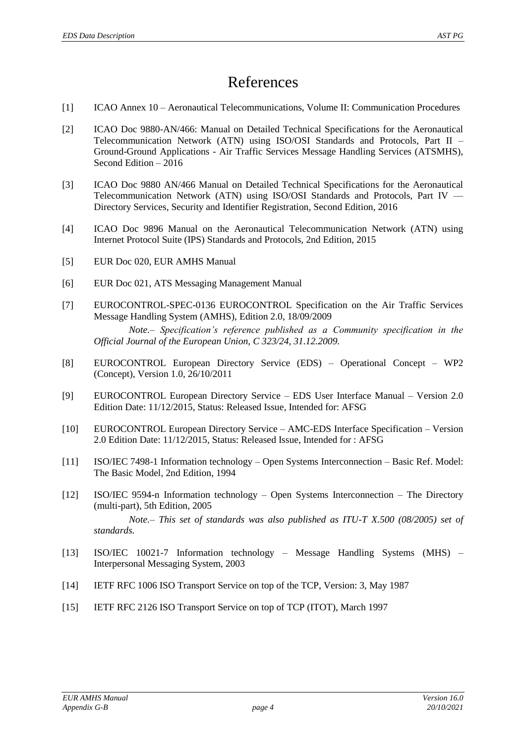# References

- <span id="page-3-8"></span>[1] ICAO Annex 10 – Aeronautical Telecommunications, Volume II: Communication Procedures
- <span id="page-3-4"></span>[2] ICAO Doc 9880-AN/466: Manual on Detailed Technical Specifications for the Aeronautical Telecommunication Network (ATN) using ISO/OSI Standards and Protocols, Part II – Ground-Ground Applications - Air Traffic Services Message Handling Services (ATSMHS), Second Edition – 2016
- <span id="page-3-1"></span>[3] ICAO Doc 9880 AN/466 Manual on Detailed Technical Specifications for the Aeronautical Telecommunication Network (ATN) using ISO/OSI Standards and Protocols, Part IV — Directory Services, Security and Identifier Registration, Second Edition, 2016
- [4] ICAO Doc 9896 Manual on the Aeronautical Telecommunication Network (ATN) using Internet Protocol Suite (IPS) Standards and Protocols, 2nd Edition, 2015
- <span id="page-3-3"></span>[5] EUR Doc 020, EUR AMHS Manual
- <span id="page-3-5"></span>[6] EUR Doc 021, ATS Messaging Management Manual
- [7] EUROCONTROL-SPEC-0136 EUROCONTROL Specification on the Air Traffic Services Message Handling System (AMHS), Edition 2.0, 18/09/2009

*Note.– Specification's reference published as a Community specification in the Official Journal of the European Union, C 323/24, 31.12.2009.*

- <span id="page-3-2"></span>[8] EUROCONTROL European Directory Service (EDS) – Operational Concept – WP2 (Concept), Version 1.0, 26/10/2011
- [9] EUROCONTROL European Directory Service EDS User Interface Manual Version 2.0 Edition Date: 11/12/2015, Status: Released Issue, Intended for: AFSG
- <span id="page-3-0"></span>[10] EUROCONTROL European Directory Service – AMC-EDS Interface Specification – Version 2.0 Edition Date: 11/12/2015, Status: Released Issue, Intended for : AFSG
- [11] ISO/IEC 7498-1 Information technology Open Systems Interconnection Basic Ref. Model: The Basic Model, 2nd Edition, 1994
- <span id="page-3-6"></span>[12] ISO/IEC 9594-n Information technology – Open Systems Interconnection – The Directory (multi-part), 5th Edition, 2005

*Note.– This set of standards was also published as ITU-T X.500 (08/2005) set of standards.*

- <span id="page-3-7"></span>[13] ISO/IEC 10021-7 Information technology – Message Handling Systems (MHS) – Interpersonal Messaging System, 2003
- [14] IETF RFC 1006 ISO Transport Service on top of the TCP, Version: 3, May 1987
- [15] IETF RFC 2126 ISO Transport Service on top of TCP (ITOT), March 1997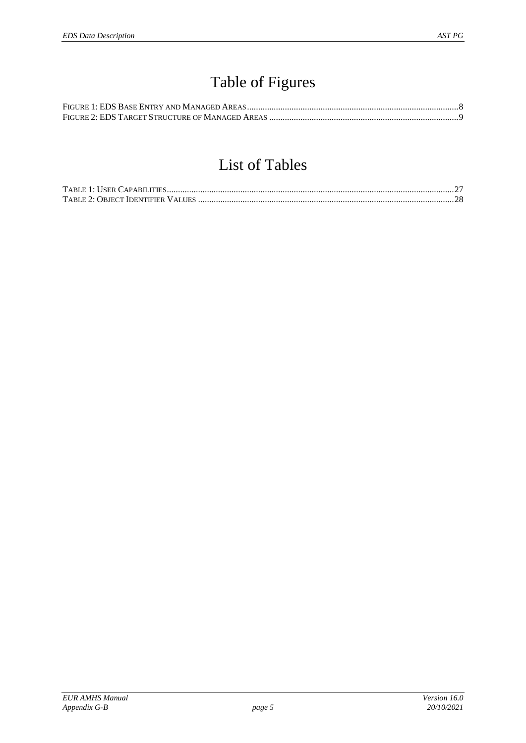# Table of Figures

# List of Tables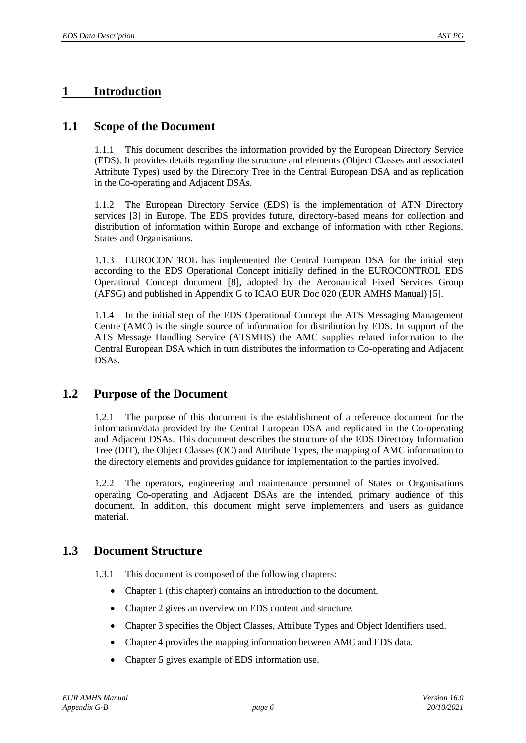# <span id="page-5-0"></span>**1 Introduction**

#### **1.1 Scope of the Document**

1.1.1 This document describes the information provided by the European Directory Service (EDS). It provides details regarding the structure and elements (Object Classes and associated Attribute Types) used by the Directory Tree in the Central European DSA and as replication in the Co-operating and Adjacent DSAs.

1.1.2 The European Directory Service (EDS) is the implementation of ATN Directory services [\[3\]](#page-3-1) in Europe. The EDS provides future, directory-based means for collection and distribution of information within Europe and exchange of information with other Regions, States and Organisations.

1.1.3 EUROCONTROL has implemented the Central European DSA for the initial step according to the EDS Operational Concept initially defined in the EUROCONTROL EDS Operational Concept document [\[8\]](#page-3-2), adopted by the Aeronautical Fixed Services Group (AFSG) and published in Appendix G to ICAO EUR Doc 020 (EUR AMHS Manual) [\[5\]](#page-3-3).

1.1.4 In the initial step of the EDS Operational Concept the ATS Messaging Management Centre (AMC) is the single source of information for distribution by EDS. In support of the ATS Message Handling Service (ATSMHS) the AMC supplies related information to the Central European DSA which in turn distributes the information to Co-operating and Adjacent DSAs.

#### **1.2 Purpose of the Document**

1.2.1 The purpose of this document is the establishment of a reference document for the information/data provided by the Central European DSA and replicated in the Co-operating and Adjacent DSAs. This document describes the structure of the EDS Directory Information Tree (DIT), the Object Classes (OC) and Attribute Types, the mapping of AMC information to the directory elements and provides guidance for implementation to the parties involved.

1.2.2 The operators, engineering and maintenance personnel of States or Organisations operating Co-operating and Adjacent DSAs are the intended, primary audience of this document. In addition, this document might serve implementers and users as guidance material.

#### **1.3 Document Structure**

1.3.1 This document is composed of the following chapters:

- Chapter [1](#page-5-0) (this chapter) contains an introduction to the document.
- Chapter [2](#page-6-0) gives an overview on EDS content and structure.
- Chapter [3](#page-9-0) specifies the Object Classes, Attribute Types and Object Identifiers used.
- Chapter [4](#page-22-0) provides the mapping information between AMC and EDS data.
- Chapter [5](#page-24-0) gives example of EDS information use.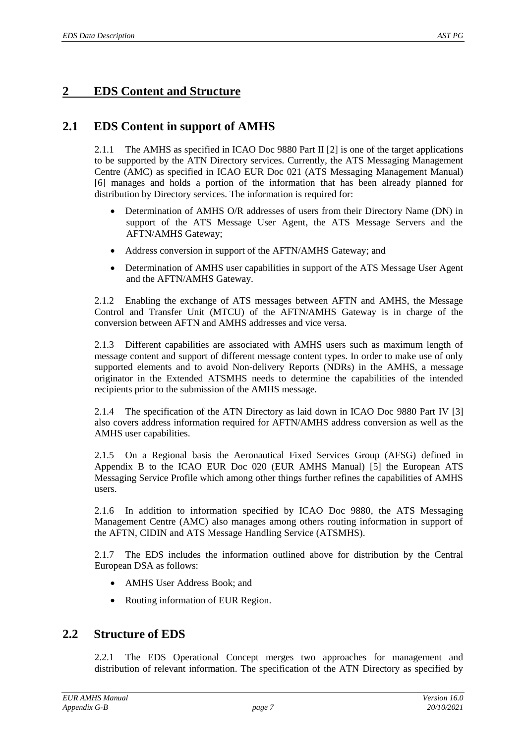# <span id="page-6-0"></span>**2 EDS Content and Structure**

## **2.1 EDS Content in support of AMHS**

2.1.1 The AMHS as specified in ICAO Doc 9880 Part II [\[2\]](#page-3-4) is one of the target applications to be supported by the ATN Directory services. Currently, the ATS Messaging Management Centre (AMC) as specified in ICAO EUR Doc 021 (ATS Messaging Management Manual) [\[6\]](#page-3-5) manages and holds a portion of the information that has been already planned for distribution by Directory services. The information is required for:

- Determination of AMHS O/R addresses of users from their Directory Name (DN) in support of the ATS Message User Agent, the ATS Message Servers and the AFTN/AMHS Gateway;
- Address conversion in support of the AFTN/AMHS Gateway; and
- Determination of AMHS user capabilities in support of the ATS Message User Agent and the AFTN/AMHS Gateway.

2.1.2 Enabling the exchange of ATS messages between AFTN and AMHS, the Message Control and Transfer Unit (MTCU) of the AFTN/AMHS Gateway is in charge of the conversion between AFTN and AMHS addresses and vice versa.

2.1.3 Different capabilities are associated with AMHS users such as maximum length of message content and support of different message content types. In order to make use of only supported elements and to avoid Non-delivery Reports (NDRs) in the AMHS, a message originator in the Extended ATSMHS needs to determine the capabilities of the intended recipients prior to the submission of the AMHS message.

2.1.4 The specification of the ATN Directory as laid down in ICAO Doc 9880 Part IV [\[3\]](#page-3-1) also covers address information required for AFTN/AMHS address conversion as well as the AMHS user capabilities.

2.1.5 On a Regional basis the Aeronautical Fixed Services Group (AFSG) defined in Appendix B to the ICAO EUR Doc 020 (EUR AMHS Manual) [\[5\]](#page-3-3) the European ATS Messaging Service Profile which among other things further refines the capabilities of AMHS users.

2.1.6 In addition to information specified by ICAO Doc 9880, the ATS Messaging Management Centre (AMC) also manages among others routing information in support of the AFTN, CIDIN and ATS Message Handling Service (ATSMHS).

2.1.7 The EDS includes the information outlined above for distribution by the Central European DSA as follows:

- AMHS User Address Book; and
- Routing information of EUR Region.

#### **2.2 Structure of EDS**

2.2.1 The EDS Operational Concept merges two approaches for management and distribution of relevant information. The specification of the ATN Directory as specified by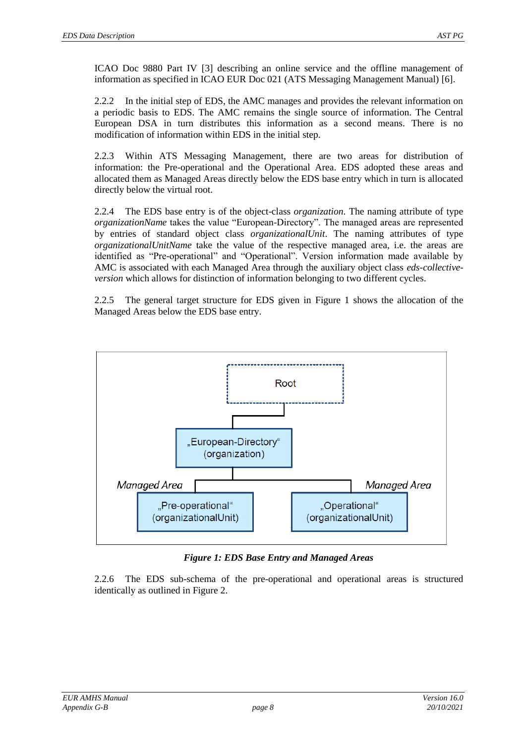ICAO Doc 9880 Part IV [\[3\]](#page-3-1) describing an online service and the offline management of information as specified in ICAO EUR Doc 021 (ATS Messaging Management Manual) [\[6\]](#page-3-5).

2.2.2 In the initial step of EDS, the AMC manages and provides the relevant information on a periodic basis to EDS. The AMC remains the single source of information. The Central European DSA in turn distributes this information as a second means. There is no modification of information within EDS in the initial step.

2.2.3 Within ATS Messaging Management, there are two areas for distribution of information: the Pre-operational and the Operational Area. EDS adopted these areas and allocated them as Managed Areas directly below the EDS base entry which in turn is allocated directly below the virtual root.

2.2.4 The EDS base entry is of the object-class *organization*. The naming attribute of type *organizationName* takes the value "European-Directory". The managed areas are represented by entries of standard object class *organizationalUnit*. The naming attributes of type *organizationalUnitName* take the value of the respective managed area, i.e. the areas are identified as "Pre-operational" and "Operational". Version information made available by AMC is associated with each Managed Area through the auxiliary object class *eds-collectiveversion* which allows for distinction of information belonging to two different cycles.

2.2.5 The general target structure for EDS given in [Figure 1](#page-7-0) shows the allocation of the Managed Areas below the EDS base entry.



#### *Figure 1: EDS Base Entry and Managed Areas*

<span id="page-7-0"></span>2.2.6 The EDS sub-schema of the pre-operational and operational areas is structured identically as outlined in [Figure 2.](#page-8-0)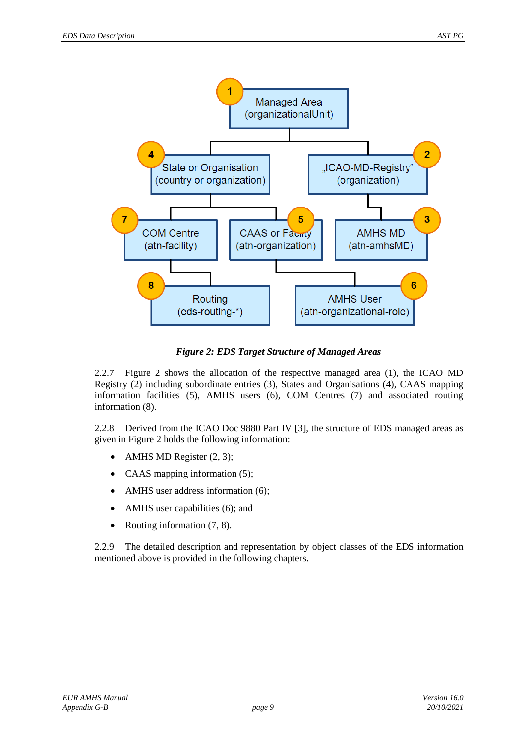

*Figure 2: EDS Target Structure of Managed Areas*

<span id="page-8-0"></span>2.2.7 [Figure 2](#page-8-0) shows the allocation of the respective managed area (1), the ICAO MD Registry (2) including subordinate entries (3), States and Organisations (4), CAAS mapping information facilities (5), AMHS users (6), COM Centres (7) and associated routing information (8).

2.2.8 Derived from the ICAO Doc 9880 Part IV [\[3\]](#page-3-1), the structure of EDS managed areas as given in [Figure 2](#page-8-0) holds the following information:

- AMHS MD Register  $(2, 3)$ ;
- CAAS mapping information (5);
- AMHS user address information (6);
- AMHS user capabilities (6); and
- Routing information  $(7, 8)$ .

2.2.9 The detailed description and representation by object classes of the EDS information mentioned above is provided in the following chapters.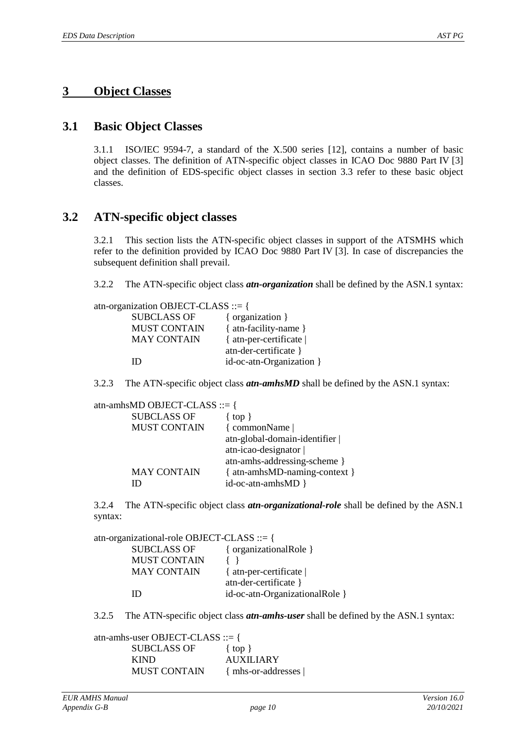### <span id="page-9-0"></span>**3 Object Classes**

#### **3.1 Basic Object Classes**

3.1.1 ISO/IEC 9594-7, a standard of the X.500 series [\[12\]](#page-3-6), contains a number of basic object classes. The definition of ATN-specific object classes in ICAO Doc 9880 Part IV [\[3\]](#page-3-1) and the definition of EDS-specific object classes in section 3.3 refer to these basic object classes.

#### **3.2 ATN-specific object classes**

3.2.1 This section lists the ATN-specific object classes in support of the ATSMHS which refer to the definition provided by ICAO Doc 9880 Part IV [\[3\]](#page-3-1). In case of discrepancies the subsequent definition shall prevail.

3.2.2 The ATN-specific object class *atn-organization* shall be defined by the ASN.1 syntax:

| atn-organization OBJECT-CLASS ::= { |                          |
|-------------------------------------|--------------------------|
| <b>SUBCLASS OF</b>                  | { organization }         |
| <b>MUST CONTAIN</b>                 | { atn-facility-name }    |
| <b>MAY CONTAIN</b>                  | { at n-per-certificate   |
|                                     | atn-der-certificate }    |
| ID                                  | id-oc-atn-Organization } |
|                                     |                          |

3.2.3 The ATN-specific object class *atn-amhsMD* shall be defined by the ASN.1 syntax:

atn-amhsMD OBJECT-CLASS ::= {

| <b>SUBCLASS OF</b>  | $\{top\}$                     |
|---------------------|-------------------------------|
| <b>MUST CONTAIN</b> | { commonName                  |
|                     | atn-global-domain-identifier  |
|                     | atn-icao-designator           |
|                     | atn-amhs-addressing-scheme }  |
| <b>MAY CONTAIN</b>  | { atn-amhsMD-naming-context } |
| ш                   | id-oc-atn-amhsMD }            |

3.2.4 The ATN-specific object class *atn-organizational-role* shall be defined by the ASN.1 syntax:

atn-organizational-role OBJECT-CLASS ::= {

| <b>SUBCLASS OF</b>  | { organizationalRole }         |
|---------------------|--------------------------------|
| <b>MUST CONTAIN</b> |                                |
| <b>MAY CONTAIN</b>  | { at n-per-certificate         |
|                     | atn-der-certificate }          |
| ID                  | id-oc-atn-OrganizationalRole } |
|                     |                                |

3.2.5 The ATN-specific object class *atn-amhs-user* shall be defined by the ASN.1 syntax:

atn-amhs-user OBJECT-CLASS ::= { SUBCLASS OF { top } KIND AUXILIARY MUST CONTAIN { mhs-or-addresses |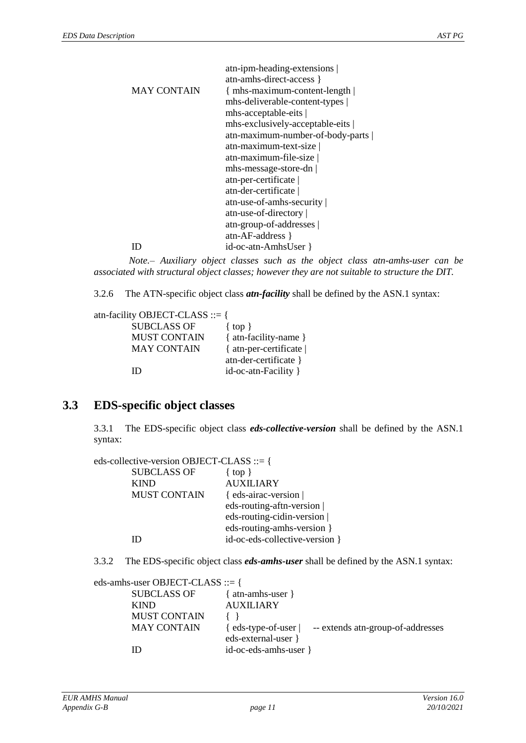|                    | atn-ipm-heading-extensions       |
|--------------------|----------------------------------|
|                    | atn-amhs-direct-access }         |
| <b>MAY CONTAIN</b> | { mhs-maximum-content-length     |
|                    | mhs-deliverable-content-types    |
|                    | $mns-acceptable-eits$            |
|                    | mhs-exclusively-acceptable-eits  |
|                    | atn-maximum-number-of-body-parts |
|                    | atn-maximum-text-size            |
|                    | atn-maximum-file-size            |
|                    | mhs-message-store-dn             |
|                    | atn-per-certificate              |
|                    | atn-der-certificate              |
|                    | atn-use-of-amhs-security         |
|                    | atn-use-of-directory             |
|                    | atn-group-of-addresses           |
|                    | $atn-AF-address$                 |
|                    | id-oc-atn-AmhsUser }             |
|                    |                                  |

*Note.– Auxiliary object classes such as the object class atn-amhs-user can be associated with structural object classes; however they are not suitable to structure the DIT.*

3.2.6 The ATN-specific object class *atn-facility* shall be defined by the ASN.1 syntax:

atn-facility OBJECT-CLASS ::= { SUBCLASS OF { top } MUST CONTAIN { atn-facility-name } MAY CONTAIN { atn-per-certificate | atn-der-certificate } ID id-oc-atn-Facility }

## **3.3 EDS-specific object classes**

3.3.1 The EDS-specific object class *eds-collective-version* shall be defined by the ASN.1 syntax:

eds-collective-version OBJECT-CLASS ::= {

| <b>SUBCLASS OF</b>  | { $top$ }                      |
|---------------------|--------------------------------|
| <b>KIND</b>         | <b>AUXILIARY</b>               |
| <b>MUST CONTAIN</b> | { eds-airac-version            |
|                     | eds-routing-aftn-version       |
|                     | eds-routing-cidin-version      |
|                     | eds-routing-amhs-version }     |
|                     | id-oc-eds-collective-version } |
|                     |                                |

3.3.2 The EDS-specific object class *eds-amhs-user* shall be defined by the ASN.1 syntax:

| eds-amhs-user OBJECT-CLASS ::= { |                                                                                         |
|----------------------------------|-----------------------------------------------------------------------------------------|
| <b>SUBCLASS OF</b>               | $atn-amhs-user$ }                                                                       |
| <b>KIND</b>                      | <b>AUXILIARY</b>                                                                        |
| <b>MUST CONTAIN</b>              |                                                                                         |
| <b>MAY CONTAIN</b>               | -- extends at n-group-of-addresses<br>$\{$ eds-type-of-user $\ $<br>eds-external-user } |
| ID                               | id-oc-eds-amhs-user }                                                                   |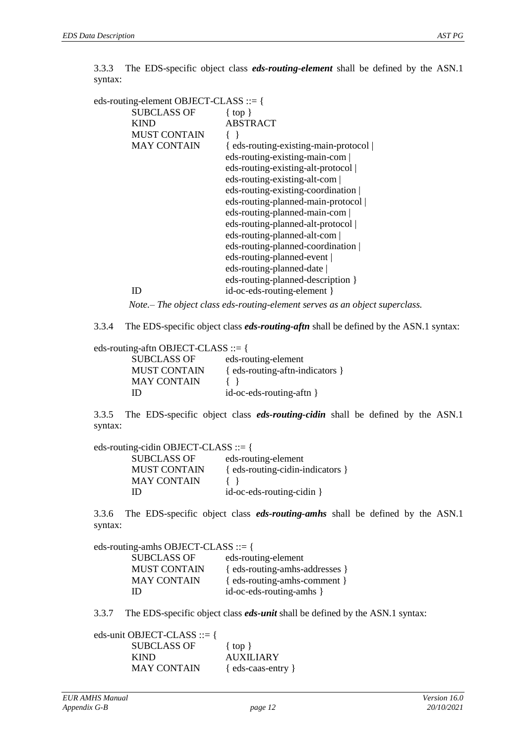3.3.3 The EDS-specific object class *eds-routing-element* shall be defined by the ASN.1 syntax:

| eds-routing-element OBJECT-CLASS ::= { |                                      |
|----------------------------------------|--------------------------------------|
| <b>SUBCLASS OF</b>                     | $\{top\}$                            |
| <b>KIND</b>                            | <b>ABSTRACT</b>                      |
| <b>MUST CONTAIN</b>                    |                                      |
| <b>MAY CONTAIN</b>                     | { eds-routing-existing-main-protocol |
|                                        | eds-routing-existing-main-com        |
|                                        | eds-routing-existing-alt-protocol    |
|                                        | eds-routing-existing-alt-com         |
|                                        | eds-routing-existing-coordination    |
|                                        | eds-routing-planned-main-protocol    |
|                                        | eds-routing-planned-main-com         |
|                                        | eds-routing-planned-alt-protocol     |
|                                        | eds-routing-planned-alt-com          |
|                                        | eds-routing-planned-coordination     |
|                                        | eds-routing-planned-event            |
|                                        | eds-routing-planned-date             |
|                                        | eds-routing-planned-description }    |
| ID                                     | id-oc-eds-routing-element }          |
|                                        |                                      |

*Note.– The object class eds-routing-element serves as an object superclass.*

3.3.4 The EDS-specific object class *eds-routing-aftn* shall be defined by the ASN.1 syntax:

eds-routing-aftn OBJECT-CLASS ::= {

| <b>SUBCLASS OF</b>  | eds-routing-element                                                                                                                                                                                                          |
|---------------------|------------------------------------------------------------------------------------------------------------------------------------------------------------------------------------------------------------------------------|
| <b>MUST CONTAIN</b> | { eds-routing-aftn-indicators }                                                                                                                                                                                              |
| <b>MAY CONTAIN</b>  | $\{$ \cdot \cdot \cdot \cdot \cdot \cdot \cdot \cdot \cdot \cdot \cdot \cdot \cdot \cdot \cdot \cdot \cdot \cdot \cdot \cdot \cdot \cdot \cdot \cdot \cdot \cdot \cdot \cdot \cdot \cdot \cdot \cdot \cdot \cdot \cdot \cdot |
| ID                  | $id$ -oc-eds-routing-aftn $\}$                                                                                                                                                                                               |

3.3.5 The EDS-specific object class *eds-routing-cidin* shall be defined by the ASN.1 syntax:

eds-routing-cidin OBJECT-CLASS ::= { SUBCLASS OF eds-routing-element MUST CONTAIN { eds-routing-cidin-indicators } MAY CONTAIN { }

ID id-oc-eds-routing-cidin }

3.3.6 The EDS-specific object class *eds-routing-amhs* shall be defined by the ASN.1 syntax:

eds-routing-amhs OBJECT-CLASS ::= {

| eds-routing-element            |
|--------------------------------|
| { eds-routing-amhs-addresses } |
| { eds-routing-amhs-comment }   |
| id-oc-eds-routing-amhs }       |
|                                |

3.3.7 The EDS-specific object class *eds-unit* shall be defined by the ASN.1 syntax:

eds-unit OBJECT-CLASS ::= { SUBCLASS OF { top } KIND AUXILIARY MAY CONTAIN { eds-caas-entry }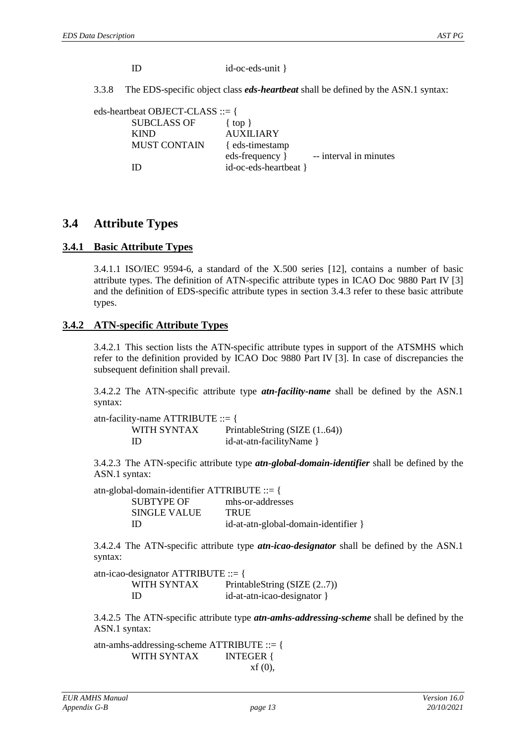| ID | id-oc-eds-unit } |
|----|------------------|
|    |                  |

3.3.8 The EDS-specific object class *eds-heartbeat* shall be defined by the ASN.1 syntax:

| eds-heartbeat OBJECT-CLASS ::= { |                       |                        |
|----------------------------------|-----------------------|------------------------|
| <b>SUBCLASS OF</b>               | $\{top\}$             |                        |
| <b>KIND</b>                      | <b>AUXILIARY</b>      |                        |
| <b>MUST CONTAIN</b>              | { eds-timestamp       |                        |
|                                  | eds-frequency }       | -- interval in minutes |
| Ш                                | id-oc-eds-heartbeat } |                        |

#### **3.4 Attribute Types**

#### **3.4.1 Basic Attribute Types**

3.4.1.1 ISO/IEC 9594-6, a standard of the X.500 series [\[12\]](#page-3-6), contains a number of basic attribute types. The definition of ATN-specific attribute types in ICAO Doc 9880 Part IV [\[3\]](#page-3-1) and the definition of EDS-specific attribute types in section [3.4.3](#page-14-0) refer to these basic attribute types.

#### **3.4.2 ATN-specific Attribute Types**

3.4.2.1 This section lists the ATN-specific attribute types in support of the ATSMHS which refer to the definition provided by ICAO Doc 9880 Part IV [\[3\]](#page-3-1). In case of discrepancies the subsequent definition shall prevail.

3.4.2.2 The ATN-specific attribute type *atn-facility-name* shall be defined by the ASN.1 syntax:

atn-facility-name ATTRIBUTE ::= { WITH SYNTAX PrintableString (SIZE (1..64)) ID id-at-atn-facilityName }

3.4.2.3 The ATN-specific attribute type *atn-global-domain-identifier* shall be defined by the ASN.1 syntax:

atn-global-domain-identifier ATTRIBUTE ::= { SUBTYPE OF mhs-or-addresses SINGLE VALUE TRUE ID id-at-atn-global-domain-identifier }

3.4.2.4 The ATN-specific attribute type *atn-icao-designator* shall be defined by the ASN.1 syntax:

atn-icao-designator ATTRIBUTE ::= { WITH SYNTAX PrintableString (SIZE (2..7)) ID id-at-atn-icao-designator }

3.4.2.5 The ATN-specific attribute type *atn-amhs-addressing-scheme* shall be defined by the ASN.1 syntax:

atn-amhs-addressing-scheme ATTRIBUTE ::= { WITH SYNTAX INTEGER { xf (0),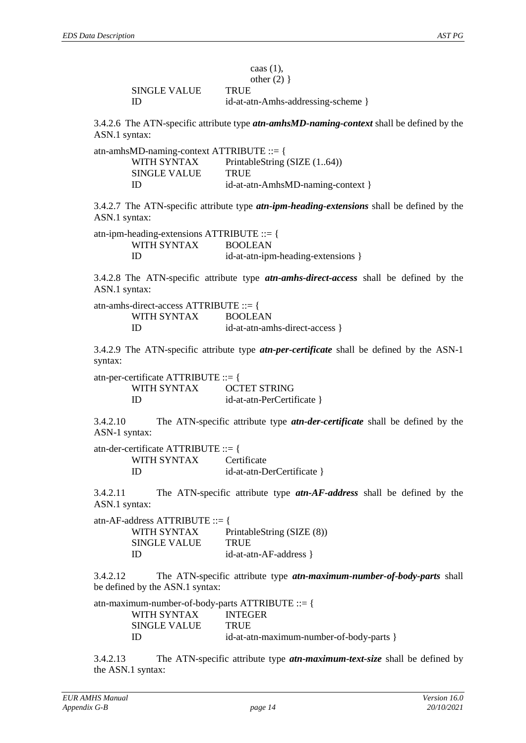|              | caas $(1)$ ,                       |
|--------------|------------------------------------|
|              | other $(2)$ }                      |
| SINGLE VALUE | <b>TRUE</b>                        |
| ID           | id-at-atn-Amhs-addressing-scheme } |

3.4.2.6 The ATN-specific attribute type *atn-amhsMD-naming-context* shall be defined by the ASN.1 syntax:

| atn-amhsMD-naming-context ATTRIBUTE ::= { |                                   |
|-------------------------------------------|-----------------------------------|
| WITH SYNTAX                               | PrintableString (SIZE (164))      |
| <b>SINGLE VALUE</b>                       | <b>TRUE</b>                       |
| Ш                                         | id-at-atn-AmhsMD-naming-context } |

3.4.2.7 The ATN-specific attribute type *atn-ipm-heading-extensions* shall be defined by the ASN.1 syntax:

atn-ipm-heading-extensions ATTRIBUTE ::= { WITH SYNTAX BOOLEAN ID id-at-atn-ipm-heading-extensions }

3.4.2.8 The ATN-specific attribute type *atn-amhs-direct-access* shall be defined by the ASN.1 syntax:

atn-amhs-direct-access ATTRIBUTE ::= { WITH SYNTAX BOOLEAN ID id-at-atn-amhs-direct-access }

3.4.2.9 The ATN-specific attribute type *atn-per-certificate* shall be defined by the ASN-1 syntax:

atn-per-certificate ATTRIBUTE ::= { WITH SYNTAX OCTET STRING ID id-at-atn-PerCertificate }

3.4.2.10 The ATN-specific attribute type *atn-der-certificate* shall be defined by the ASN-1 syntax:

atn-der-certificate ATTRIBUTE ::= { WITH SYNTAX Certificate ID id-at-atn-DerCertificate }

3.4.2.11 The ATN-specific attribute type *atn-AF-address* shall be defined by the ASN.1 syntax:

atn-AF-address ATTRIBUTE ::= { WITH SYNTAX PrintableString (SIZE (8)) SINGLE VALUE TRUE ID id-at-atn-AF-address }

3.4.2.12 The ATN-specific attribute type *atn-maximum-number-of-body-parts* shall be defined by the ASN.1 syntax:

atn-maximum-number-of-body-parts ATTRIBUTE ::= { WITH SYNTAX **INTEGER** SINGLE VALUE TRUE ID id-at-atn-maximum-number-of-body-parts }

3.4.2.13 The ATN-specific attribute type *atn-maximum-text-size* shall be defined by the ASN.1 syntax: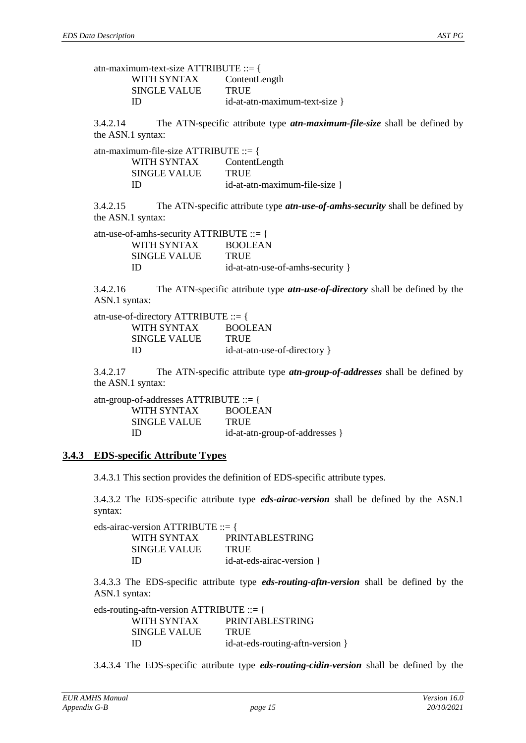| atn-maximum-text-size ATTRIBUTE ::= { |                               |
|---------------------------------------|-------------------------------|
| WITH SYNTAX ContentLength             |                               |
| <b>SINGLE VALUE</b>                   | <b>TRUE</b>                   |
| Ш                                     | id-at-atn-maximum-text-size } |

3.4.2.14 The ATN-specific attribute type *atn-maximum-file-size* shall be defined by the ASN.1 syntax:

| atn-maximum-file-size ATTRIBUTE ::= { |                               |
|---------------------------------------|-------------------------------|
| WITH SYNTAX                           | ContentLength                 |
| SINGLE VALUE                          | <b>TRUE</b>                   |
| ID                                    | id-at-atn-maximum-file-size } |

3.4.2.15 The ATN-specific attribute type *atn-use-of-amhs-security* shall be defined by the ASN.1 syntax:

atn-use-of-amhs-security ATTRIBUTE ::= { WITH SYNTAX BOOLEAN SINGLE VALUE TRUE ID id-at-atn-use-of-amhs-security }

3.4.2.16 The ATN-specific attribute type *atn-use-of-directory* shall be defined by the ASN.1 syntax:

| atn-use-of-directory ATTRIBUTE ::= { |                              |
|--------------------------------------|------------------------------|
| WITH SYNTAX                          | <b>BOOLEAN</b>               |
| <b>SINGLE VALUE</b>                  | <b>TRUE</b>                  |
| ID                                   | id-at-atn-use-of-directory } |

3.4.2.17 The ATN-specific attribute type *atn-group-of-addresses* shall be defined by the ASN.1 syntax:

| atn-group-of-addresses ATTRIBUTE ::= { |                                |
|----------------------------------------|--------------------------------|
| WITH SYNTAX                            | <b>BOOLEAN</b>                 |
| <b>SINGLE VALUE</b>                    | <b>TRUE</b>                    |
| ID                                     | id-at-atn-group-of-addresses } |

#### <span id="page-14-0"></span>**3.4.3 EDS-specific Attribute Types**

3.4.3.1 This section provides the definition of EDS-specific attribute types.

3.4.3.2 The EDS-specific attribute type *eds-airac-version* shall be defined by the ASN.1 syntax:

| eds-airac-version ATTRIBUTE ::= { |                           |
|-----------------------------------|---------------------------|
| WITH SYNTAX                       | <b>PRINTABLESTRING</b>    |
| SINGLE VALUE                      | <b>TRUE</b>               |
| Ш                                 | id-at-eds-airac-version } |

3.4.3.3 The EDS-specific attribute type *eds-routing-aftn-version* shall be defined by the ASN.1 syntax:

eds-routing-aftn-version ATTRIBUTE ::= { WITH SYNTAX PRINTABLESTRING SINGLE VALUE TRUE ID id-at-eds-routing-aftn-version }

3.4.3.4 The EDS-specific attribute type *eds-routing-cidin-version* shall be defined by the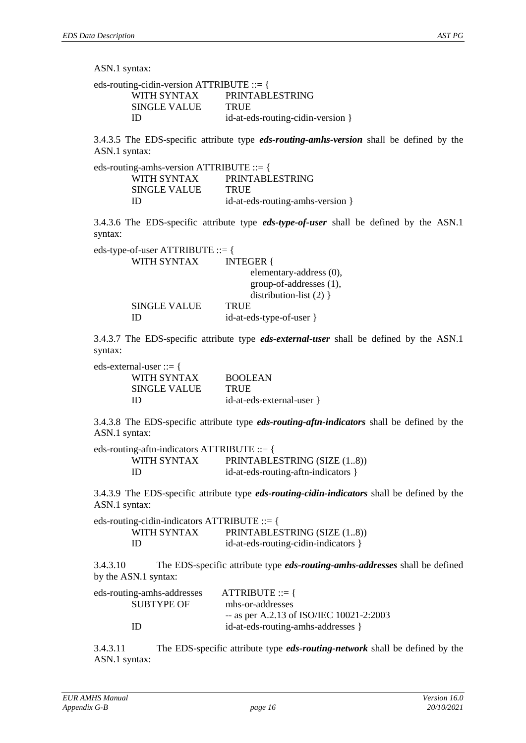ASN.1 syntax:

eds-routing-cidin-version ATTRIBUTE ::= { WITH SYNTAX PRINTABLESTRING SINGLE VALUE TRUE ID id-at-eds-routing-cidin-version }

3.4.3.5 The EDS-specific attribute type *eds-routing-amhs-version* shall be defined by the ASN.1 syntax:

| eds-routing-amhs-version ATTRIBUTE ::= { |                                  |
|------------------------------------------|----------------------------------|
| WITH SYNTAX                              | <b>PRINTABLESTRING</b>           |
| SINGLE VALUE                             | <b>TRUE</b>                      |
| ID                                       | id-at-eds-routing-amhs-version } |

3.4.3.6 The EDS-specific attribute type *eds-type-of-user* shall be defined by the ASN.1 syntax:

| eds-type-of-user ATTRIBUTE ::= { |
|----------------------------------|
| <b>INTEGER</b> {                 |
| elementary-address (0),          |
| group-of-addresses (1),          |
| distribution-list $(2)$ }        |
| <b>TRUE</b>                      |
| id-at-eds-type-of-user }         |
|                                  |

3.4.3.7 The EDS-specific attribute type *eds-external-user* shall be defined by the ASN.1 syntax:

eds-external-user ::= {

| $\cdots$            |                           |
|---------------------|---------------------------|
| WITH SYNTAX         | <b>BOOLEAN</b>            |
| <b>SINGLE VALUE</b> | <b>TRUE</b>               |
| ID                  | id-at-eds-external-user } |

3.4.3.8 The EDS-specific attribute type *eds-routing-aftn-indicators* shall be defined by the ASN.1 syntax:

| eds-routing-aftn-indicators $\text{ATTRIBUTE} ::= \{$ |                                     |
|-------------------------------------------------------|-------------------------------------|
| WITH SYNTAX                                           | PRINTABLESTRING (SIZE (18))         |
| ID                                                    | id-at-eds-routing-aftn-indicators } |

3.4.3.9 The EDS-specific attribute type *eds-routing-cidin-indicators* shall be defined by the ASN.1 syntax:

eds-routing-cidin-indicators ATTRIBUTE ::= { WITH SYNTAX PRINTABLESTRING (SIZE (1..8)) ID id-at-eds-routing-cidin-indicators }

3.4.3.10 The EDS-specific attribute type *eds-routing-amhs-addresses* shall be defined by the ASN.1 syntax:

| eds-routing-amhs-addresses | $ATTRIBUTE ::=$                          |
|----------------------------|------------------------------------------|
| <b>SUBTYPE OF</b>          | mhs-or-addresses                         |
|                            | -- as per A.2.13 of ISO/IEC 10021-2:2003 |
| ID                         | id-at-eds-routing-amhs-addresses }       |
|                            |                                          |

3.4.3.11 The EDS-specific attribute type *eds-routing-network* shall be defined by the ASN.1 syntax: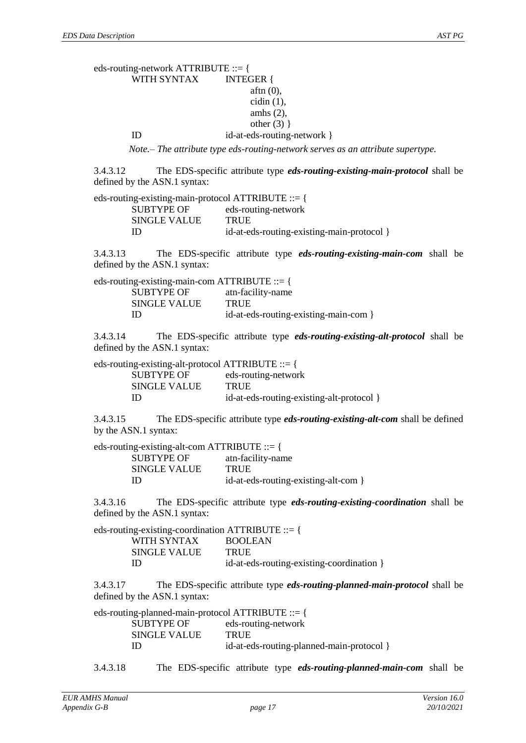#### eds-routing-network ATTRIBUTE ::= { WITH SYNTAX INTEGER { aftn (0),  $cidin(1)$ , amhs (2), other  $(3)$ } ID id-at-eds-routing-network }

*Note.– The attribute type eds-routing-network serves as an attribute supertype.*

3.4.3.12 The EDS-specific attribute type *eds-routing-existing-main-protocol* shall be defined by the ASN.1 syntax:

| eds-routing-existing-main-protocol ATTRIBUTE ::= { |                                            |
|----------------------------------------------------|--------------------------------------------|
| <b>SUBTYPE OF</b>                                  | eds-routing-network                        |
| SINGLE VALUE                                       | <b>TRUE</b>                                |
| ID                                                 | id-at-eds-routing-existing-main-protocol } |

3.4.3.13 The EDS-specific attribute type *eds-routing-existing-main-com* shall be defined by the ASN.1 syntax:

| eds-routing-existing-main-com ATTRIBUTE ::= { |                                       |
|-----------------------------------------------|---------------------------------------|
| <b>SUBTYPE OF</b>                             | atn-facility-name                     |
| SINGLE VALUE                                  | <b>TRUE</b>                           |
| ID                                            | id-at-eds-routing-existing-main-com } |

3.4.3.14 The EDS-specific attribute type *eds-routing-existing-alt-protocol* shall be defined by the ASN.1 syntax:

| eds-routing-existing-alt-protocol ATTRIBUTE ::= { |                                           |
|---------------------------------------------------|-------------------------------------------|
| <b>SUBTYPE OF</b>                                 | eds-routing-network                       |
| <b>SINGLE VALUE</b>                               | <b>TRUE</b>                               |
| ID                                                | id-at-eds-routing-existing-alt-protocol } |

3.4.3.15 The EDS-specific attribute type *eds-routing-existing-alt-com* shall be defined by the ASN.1 syntax:

| eds-routing-existing-alt-com ATTRIBUTE $ ::= \{$ |
|--------------------------------------------------|
| atn-facility-name                                |
| <b>TRUE</b>                                      |
| id-at-eds-routing-existing-alt-com }             |
|                                                  |

3.4.3.16 The EDS-specific attribute type *eds-routing-existing-coordination* shall be defined by the ASN.1 syntax:

| eds-routing-existing-coordination $\text{ATTRIBUTE} ::= \{$ |
|-------------------------------------------------------------|
| <b>BOOLEAN</b>                                              |
| <b>TRUE</b>                                                 |
| id-at-eds-routing-existing-coordination }                   |
|                                                             |

3.4.3.17 The EDS-specific attribute type *eds-routing-planned-main-protocol* shall be defined by the ASN.1 syntax:

| eds-routing-planned-main-protocol ATTRIBUTE ::= { |                                           |
|---------------------------------------------------|-------------------------------------------|
| <b>SUBTYPE OF</b>                                 | eds-routing-network                       |
| <b>SINGLE VALUE</b>                               | TRUE                                      |
| ID                                                | id-at-eds-routing-planned-main-protocol } |

3.4.3.18 The EDS-specific attribute type *eds-routing-planned-main-com* shall be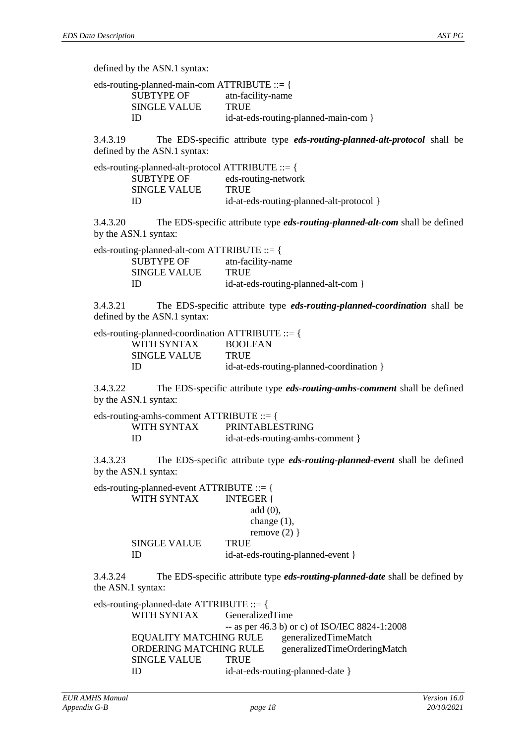defined by the ASN.1 syntax:

| eds-routing-planned-main-com ATTRIBUTE ::= { |                                      |
|----------------------------------------------|--------------------------------------|
| SUBTYPE OF                                   | atn-facility-name                    |
| <b>SINGLE VALUE</b>                          | <b>TRUE</b>                          |
| ID                                           | id-at-eds-routing-planned-main-com } |

3.4.3.19 The EDS-specific attribute type *eds-routing-planned-alt-protocol* shall be defined by the ASN.1 syntax:

| eds-routing-planned-alt-protocol ATTRIBUTE ::= { |                                          |
|--------------------------------------------------|------------------------------------------|
| SUBTYPE OF                                       | eds-routing-network                      |
| <b>SINGLE VALUE</b>                              | TRUE                                     |
| ID                                               | id-at-eds-routing-planned-alt-protocol } |

3.4.3.20 The EDS-specific attribute type *eds-routing-planned-alt-com* shall be defined by the ASN.1 syntax:

eds-routing-planned-alt-com ATTRIBUTE ::= { SUBTYPE OF atn-facility-name SINGLE VALUE TRUE ID id-at-eds-routing-planned-alt-com }

3.4.3.21 The EDS-specific attribute type *eds-routing-planned-coordination* shall be defined by the ASN.1 syntax:

| eds-routing-planned-coordination ATTRIBUTE ::= { |                                          |  |
|--------------------------------------------------|------------------------------------------|--|
| WITH SYNTAX                                      | <b>BOOLEAN</b>                           |  |
| <b>SINGLE VALUE</b>                              | TRUE                                     |  |
| ID                                               | id-at-eds-routing-planned-coordination } |  |

3.4.3.22 The EDS-specific attribute type *eds-routing-amhs-comment* shall be defined by the ASN.1 syntax:

eds-routing-amhs-comment ATTRIBUTE ::= { WITH SYNTAX PRINTABLESTRING ID id-at-eds-routing-amhs-comment }

3.4.3.23 The EDS-specific attribute type *eds-routing-planned-event* shall be defined by the ASN.1 syntax:

| eds-routing-planned-event ATTRIBUTE ::= { |  |
|-------------------------------------------|--|
| <b>INTEGER</b> {                          |  |
| add(0),                                   |  |
| change $(1)$ ,                            |  |
| remove $(2)$ }                            |  |
| <b>TRUE</b>                               |  |
| id-at-eds-routing-planned-event }         |  |
|                                           |  |

3.4.3.24 The EDS-specific attribute type *eds-routing-planned-date* shall be defined by the ASN.1 syntax:

eds-routing-planned-date ATTRIBUTE ::= { WITH SYNTAX GeneralizedTime -- as per 46.3 b) or c) of ISO/IEC 8824-1:2008 EQUALITY MATCHING RULE generalizedTimeMatch ORDERING MATCHING RULE generalizedTimeOrderingMatch SINGLE VALUE TRUE ID id-at-eds-routing-planned-date }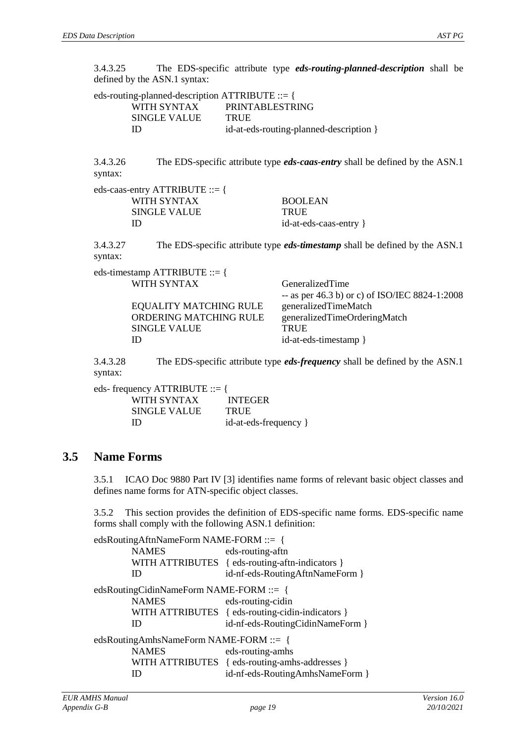3.4.3.25 The EDS-specific attribute type *eds-routing-planned-description* shall be defined by the ASN.1 syntax:

| eds-routing-planned-description ATTRIBUTE ::= { |                                         |  |
|-------------------------------------------------|-----------------------------------------|--|
| WITH SYNTAX                                     | PRINTABLESTRING                         |  |
| SINGLE VALUE                                    | <b>TRUE</b>                             |  |
| ID                                              | id-at-eds-routing-planned-description } |  |

3.4.3.26 The EDS-specific attribute type *eds-caas-entry* shall be defined by the ASN.1 syntax:

| eds-caas-entry ATTRIBUTE ::= { |                        |
|--------------------------------|------------------------|
| WITH SYNTAX                    | <b>BOOLEAN</b>         |
| SINGLE VALUE                   | <b>TRUE</b>            |
| ID                             | id-at-eds-caas-entry } |

3.4.3.27 The EDS-specific attribute type *eds-timestamp* shall be defined by the ASN.1 syntax:

eds-timestamp ATTRIBUTE ::= { WITH SYNTAX GeneralizedTime

|                        | -- as per 46.3 b) or c) of ISO/IEC 8824-1:2008 |
|------------------------|------------------------------------------------|
| EQUALITY MATCHING RULE | generalizedTimeMatch                           |
| ORDERING MATCHING RULE | generalizedTimeOrderingMatch                   |
| <b>SINGLE VALUE</b>    | <b>TRUE</b>                                    |
| Ш                      | id-at-eds-timestamp }                          |
|                        |                                                |

3.4.3.28 The EDS-specific attribute type *eds-frequency* shall be defined by the ASN.1 syntax:

| eds- frequency $\text{ATTRIBUTE} ::= \{$ |                       |
|------------------------------------------|-----------------------|
| WITH SYNTAX                              | <b>INTEGER</b>        |
| <b>SINGLE VALUE</b>                      | <b>TRUE</b>           |
| Ш                                        | id-at-eds-frequency } |

#### **3.5 Name Forms**

3.5.1 ICAO Doc 9880 Part IV [\[3\]](#page-3-1) identifies name forms of relevant basic object classes and defines name forms for ATN-specific object classes.

3.5.2 This section provides the definition of EDS-specific name forms. EDS-specific name forms shall comply with the following ASN.1 definition:

| edsRoutingAftnNameForm NAME-FORM ::= {<br><b>NAMES</b><br>ID | eds-routing-aftn<br>WITH ATTRIBUTES { eds-routing-aftn-indicators }<br>id-nf-eds-RoutingAftnNameForm } |  |
|--------------------------------------------------------------|--------------------------------------------------------------------------------------------------------|--|
|                                                              |                                                                                                        |  |
| edsRoutingCidinNameForm NAME-FORM ::= {                      |                                                                                                        |  |
| <b>NAMES</b><br>eds-routing-cidin                            |                                                                                                        |  |
|                                                              | WITH ATTRIBUTES { eds-routing-cidin-indicators }                                                       |  |
| ID                                                           | id-nf-eds-RoutingCidinNameForm }                                                                       |  |
| edsRoutingAmhsNameForm NAME-FORM ::= {                       |                                                                                                        |  |
| <b>NAMES</b>                                                 | eds-routing-amhs                                                                                       |  |
| WITH ATTRIBUTES                                              | { eds-routing-amhs-addresses }                                                                         |  |
|                                                              | id-nf-eds-RoutingAmhsNameForm }                                                                        |  |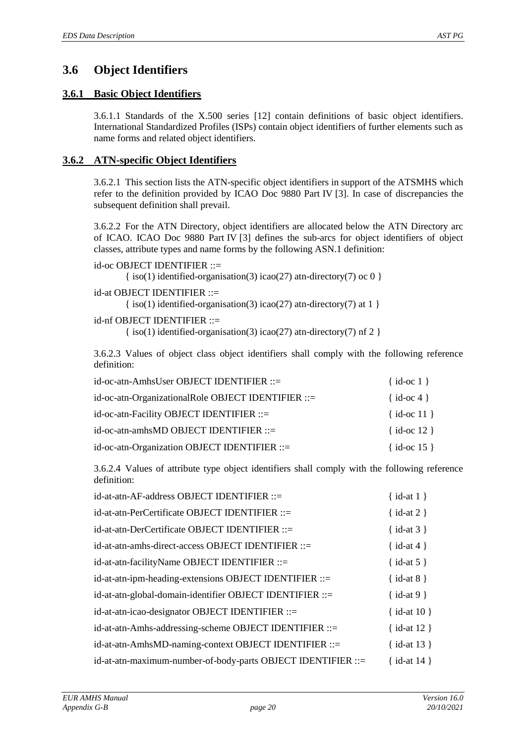# **3.6 Object Identifiers**

#### **3.6.1 Basic Object Identifiers**

3.6.1.1 Standards of the X.500 series [\[12\]](#page-3-6) contain definitions of basic object identifiers. International Standardized Profiles (ISPs) contain object identifiers of further elements such as name forms and related object identifiers.

#### **3.6.2 ATN-specific Object Identifiers**

3.6.2.1 This section lists the ATN-specific object identifiers in support of the ATSMHS which refer to the definition provided by ICAO Doc 9880 Part IV [\[3\]](#page-3-1). In case of discrepancies the subsequent definition shall prevail.

3.6.2.2 For the ATN Directory, object identifiers are allocated below the ATN Directory arc of ICAO. ICAO Doc 9880 Part IV [\[3\]](#page-3-1) defines the sub-arcs for object identifiers of object classes, attribute types and name forms by the following ASN.1 definition:

```
id-oc OBJECT IDENTIFIER ::=
\{\text{iso}(1) \text{ identified-organization}(3) \text{ i} \text{ca}(27) \text{ atn-directory}(7) \text{ oc } 0 \}
```
id-at OBJECT IDENTIFIER ::=

 $\{ \text{iso}(1) \}$  identified-organisation(3) icao(27) at n-directory(7) at 1  $\}$ 

id-nf OBJECT IDENTIFIER ::=

 $\{ \text{iso}(1) \text{ identified-organization}(3) \text{ica}(27) \text{ atn-directory}(7) \text{ nf } 2 \}$ 

3.6.2.3 Values of object class object identifiers shall comply with the following reference definition:

| id-oc-atn-AmhsUser OBJECT IDENTIFIER ::=           | $\{ id-oc 1 \}$ |
|----------------------------------------------------|-----------------|
| id-oc-atn-OrganizationalRole OBJECT IDENTIFIER ::= | $\{ id-oc 4 \}$ |
| id-oc-atn-Facility OBJECT IDENTIFIER ::=           | $\{id-oc 11\}$  |
| id-oc-atn-amhsMD OBJECT IDENTIFIER ::=             | $\{id-oc 12\}$  |
| id-oc-atn-Organization OBJECT IDENTIFIER ::=       | {id-oc 15}      |

3.6.2.4 Values of attribute type object identifiers shall comply with the following reference definition:

| id-at-atn-AF-address OBJECT IDENTIFIER ::=                   | $\{ id-at 1 \}$  |
|--------------------------------------------------------------|------------------|
| id-at-atn-PerCertificate OBJECT IDENTIFIER ::=               | $\{ id-at 2 \}$  |
| id-at-atn-DerCertificate OBJECT IDENTIFIER ::=               | $\{ id-at 3 \}$  |
| id-at-atn-amhs-direct-access OBJECT IDENTIFIER ::=           | { $id$ -at 4 }   |
| id-at-atn-facilityName OBJECT IDENTIFIER ::=                 | { $id$ -at 5 }   |
| id-at-atn-ipm-heading-extensions OBJECT IDENTIFIER ::=       | $\{ id-at 8 \}$  |
| id-at-atn-global-domain-identifier OBJECT IDENTIFIER ::=     | $\{ id-at 9 \}$  |
| id-at-atn-icao-designator OBJECT IDENTIFIER ::=              | { $id$ -at 10 }  |
| id-at-atn-Amhs-addressing-scheme OBJECT IDENTIFIER ::=       | { $id$ -at 12 }  |
| id-at-atn-AmhsMD-naming-context OBJECT IDENTIFIER ::=        | $\{ id-at 13 \}$ |
| id-at-atn-maximum-number-of-body-parts OBJECT IDENTIFIER ::= | { $id-at 14$ }   |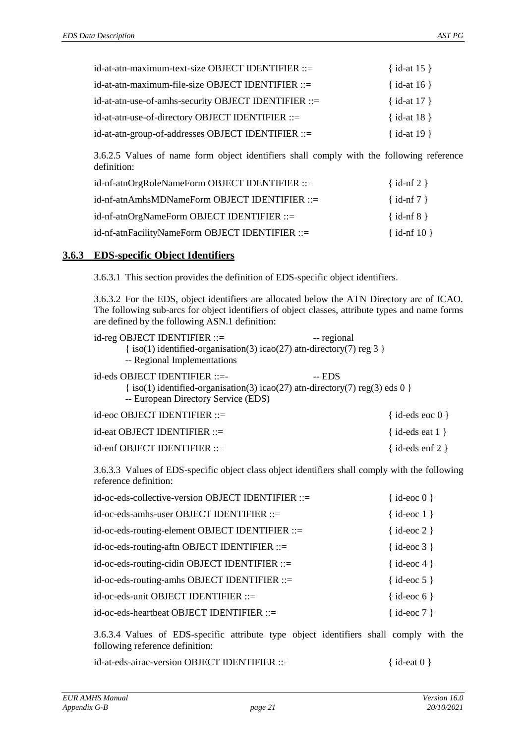| id-at-atn-maximum-text-size OBJECT IDENTIFIER ::=    | $\{ id$ -at 15 $\}$ |
|------------------------------------------------------|---------------------|
| id-at-atn-maximum-file-size OBJECT IDENTIFIER ::=    | $\{ id$ -at 16 $\}$ |
| id-at-atn-use-of-amhs-security OBJECT IDENTIFIER ::= | { id-at $17$ }      |
| id-at-atn-use-of-directory OBJECT IDENTIFIER ::=     | { id-at $18$ }      |
| id-at-atn-group-of-addresses OBJECT IDENTIFIER ::=   | {id-at $19$ }       |

3.6.2.5 Values of name form object identifiers shall comply with the following reference definition:

| id-nf-atnOrgRoleNameForm OBJECT IDENTIFIER ::=  | $\{ id\text{-nf } 2 \}$ |
|-------------------------------------------------|-------------------------|
| id-nf-atnAmhsMDNameForm OBJECT IDENTIFIER ::=   | $\{ id\text{-nf } 7 \}$ |
| id-nf-atnOrgNameForm OBJECT IDENTIFIER ::=      | $\{ id\text{-nf } 8 \}$ |
| id-nf-atnFacilityNameForm OBJECT IDENTIFIER ::= | $\{ id\text{-nf }10 \}$ |

#### **3.6.3 EDS-specific Object Identifiers**

3.6.3.1 This section provides the definition of EDS-specific object identifiers.

3.6.3.2 For the EDS, object identifiers are allocated below the ATN Directory arc of ICAO. The following sub-arcs for object identifiers of object classes, attribute types and name forms are defined by the following ASN.1 definition:

| $id$ -reg OBJECT IDENTIFIER $ ::=$<br>$\{iso(1)$ identified-organisation(3) icao(27) at n-directory(7) reg 3 $\}$<br>-- Regional Implementations                          | -- regional              |
|---------------------------------------------------------------------------------------------------------------------------------------------------------------------------|--------------------------|
| $id$ -eds OBJECT IDENTIFIER $::=$<br>$\{ \text{iso}(1) \}$ identified-organisation(3) icao(27) at n-directory(7) reg(3) eds 0 $\}$<br>-- European Directory Service (EDS) | $-$ EDS                  |
| $id\text{-}eoc$ OBJECT IDENTIFIER $ ::=$                                                                                                                                  | $\{$ id-eds eoc $0$ $\}$ |
| $id$ -eat OBJECT IDENTIFIER $ ::=$                                                                                                                                        | { id-eds eat $1$ }       |
| $id$ -enf OBJECT IDENTIFIER $ ::=$                                                                                                                                        | id-eds enf $2 \}$        |

3.6.3.3 Values of EDS-specific object class object identifiers shall comply with the following reference definition:

| id-oc-eds-collective-version OBJECT IDENTIFIER ::= | $\{$ id-eoc $0\}$        |
|----------------------------------------------------|--------------------------|
| id-oc-eds-amhs-user OBJECT IDENTIFIER ::=          | $\{ id\text{-}eoc 1 \}$  |
| id-oc-eds-routing-element OBJECT IDENTIFIER ::=    | $\{$ id-eoc 2 $\}$       |
| id-oc-eds-routing-aftn OBJECT IDENTIFIER ::=       | $\{$ id-eoc 3 $\}$       |
| $id-oc-eds$ -routing-cidin OBJECT IDENTIFIER ::=   | $\{$ id-eoc 4 $\}$       |
| id-oc-eds-routing-amhs OBJECT IDENTIFIER ::=       | $\{$ id-eoc 5 $\}$       |
| id-oc-eds-unit OBJECT IDENTIFIER ::=               | $\{$ id-eoc 6 $\}$       |
| id-oc-eds-heartbeat OBJECT IDENTIFIER ::=          | $\{ id\text{-}eoc\ 7 \}$ |

3.6.3.4 Values of EDS-specific attribute type object identifiers shall comply with the following reference definition:

id-at-eds-airac-version OBJECT IDENTIFIER ::= { id-eat 0 }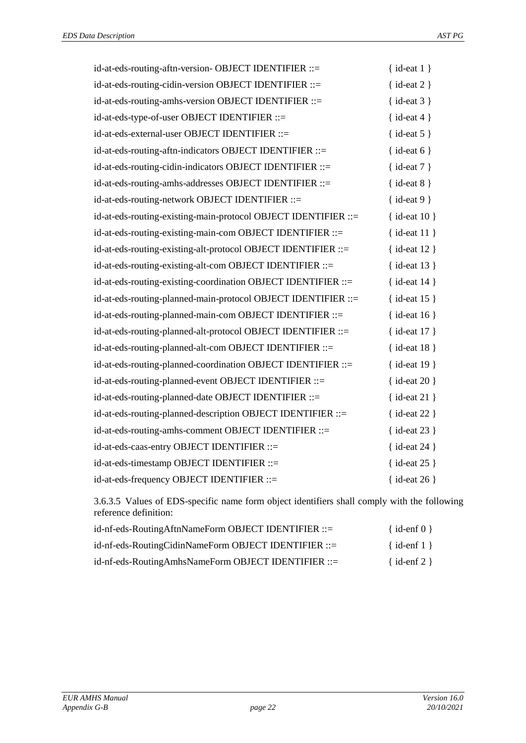| id-at-eds-routing-aftn-version- OBJECT IDENTIFIER ::=          | $\{ id$ -eat $1 \}$  |
|----------------------------------------------------------------|----------------------|
| id-at-eds-routing-cidin-version OBJECT IDENTIFIER ::=          | $\{ id$ -eat 2 $\}$  |
| id-at-eds-routing-amhs-version OBJECT IDENTIFIER ::=           | $\{ id$ -eat 3 $\}$  |
| id-at-eds-type-of-user OBJECT IDENTIFIER ::=                   | $\{ id$ -eat 4 $\}$  |
| id-at-eds-external-user OBJECT IDENTIFIER ::=                  | $\{ id$ -eat 5 $\}$  |
| id-at-eds-routing-aftn-indicators OBJECT IDENTIFIER ::=        | $\{ id$ -eat 6 $\}$  |
| id-at-eds-routing-cidin-indicators OBJECT IDENTIFIER ::=       | $\{ id$ -eat $7 \}$  |
| id-at-eds-routing-amhs-addresses OBJECT IDENTIFIER ::=         | $\{ id$ -eat $8 \}$  |
| id-at-eds-routing-network OBJECT IDENTIFIER ::=                | $\{ id$ -eat 9 $\}$  |
| id-at-eds-routing-existing-main-protocol OBJECT IDENTIFIER ::= | $\{ id$ -eat 10 $\}$ |
| id-at-eds-routing-existing-main-com OBJECT IDENTIFIER ::=      | $\{ id$ -eat $11 \}$ |
| id-at-eds-routing-existing-alt-protocol OBJECT IDENTIFIER ::=  | $\{ id$ -eat 12 $\}$ |
| id-at-eds-routing-existing-alt-com OBJECT IDENTIFIER ::=       | $\{ id$ -eat 13 $\}$ |
| id-at-eds-routing-existing-coordination OBJECT IDENTIFIER ::=  | $\{ id$ -eat 14 $\}$ |
| id-at-eds-routing-planned-main-protocol OBJECT IDENTIFIER ::=  | { id-eat $15$ }      |
| id-at-eds-routing-planned-main-com OBJECT IDENTIFIER ::=       | $\{$ id-eat 16 }     |
| id-at-eds-routing-planned-alt-protocol OBJECT IDENTIFIER ::=   | $\{ id$ -eat 17 $\}$ |
| id-at-eds-routing-planned-alt-com OBJECT IDENTIFIER ::=        | $\{ id$ -eat 18 }    |
| id-at-eds-routing-planned-coordination OBJECT IDENTIFIER ::=   | { id-eat 19 }        |
| id-at-eds-routing-planned-event OBJECT IDENTIFIER ::=          | $\{$ id-eat 20 }     |
| id-at-eds-routing-planned-date OBJECT IDENTIFIER ::=           | $\{ id$ -eat 21 $\}$ |
| id-at-eds-routing-planned-description OBJECT IDENTIFIER ::=    | { id-eat 22 }        |
| id-at-eds-routing-amhs-comment OBJECT IDENTIFIER ::=           | $\{ id$ -eat 23 $\}$ |
| id-at-eds-caas-entry OBJECT IDENTIFIER ::=                     | $\{ id$ -eat 24 $\}$ |
| id-at-eds-timestamp OBJECT IDENTIFIER ::=                      | { $id$ -eat 25 }     |
| id-at-eds-frequency OBJECT IDENTIFIER ::=                      | $\{$ id-eat 26 }     |

3.6.3.5 Values of EDS-specific name form object identifiers shall comply with the following reference definition:

| id-nf-eds-RoutingAftnNameForm OBJECT IDENTIFIER ::=  | $\{ id\text{-}enf 0 \}$ |
|------------------------------------------------------|-------------------------|
| id-nf-eds-RoutingCidinNameForm OBJECT IDENTIFIER ::= | $\{ id\text{-}enf 1 \}$ |
| id-nf-eds-RoutingAmhsNameForm OBJECT IDENTIFIER ::=  | $\{ id\text{-}enf 2 \}$ |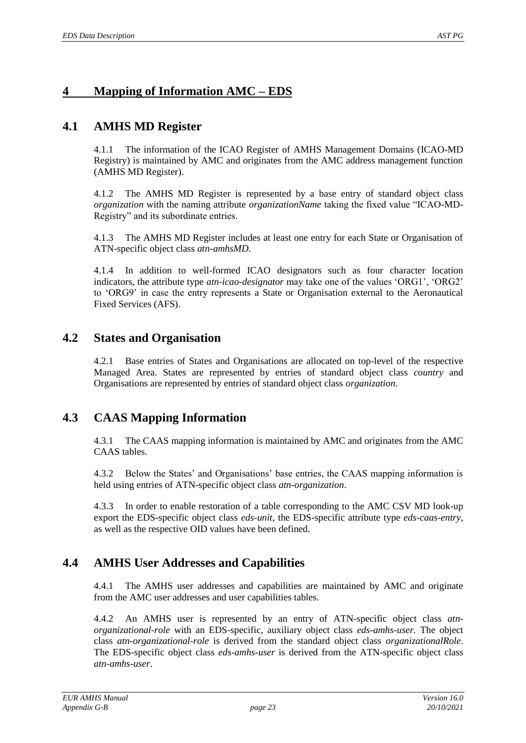# <span id="page-22-0"></span>**4 Mapping of Information AMC – EDS**

## **4.1 AMHS MD Register**

4.1.1 The information of the ICAO Register of AMHS Management Domains (ICAO-MD Registry) is maintained by AMC and originates from the AMC address management function (AMHS MD Register).

4.1.2 The AMHS MD Register is represented by a base entry of standard object class *organization* with the naming attribute *organizationName* taking the fixed value "ICAO-MD-Registry" and its subordinate entries.

4.1.3 The AMHS MD Register includes at least one entry for each State or Organisation of ATN-specific object class *atn-amhsMD*.

4.1.4 In addition to well-formed ICAO designators such as four character location indicators, the attribute type *atn-icao-designator* may take one of the values 'ORG1', 'ORG2' to 'ORG9' in case the entry represents a State or Organisation external to the Aeronautical Fixed Services (AFS).

## **4.2 States and Organisation**

4.2.1 Base entries of States and Organisations are allocated on top-level of the respective Managed Area. States are represented by entries of standard object class *country* and Organisations are represented by entries of standard object class *organization*.

# **4.3 CAAS Mapping Information**

4.3.1 The CAAS mapping information is maintained by AMC and originates from the AMC CAAS tables.

4.3.2 Below the States' and Organisations' base entries, the CAAS mapping information is held using entries of ATN-specific object class *atn-organization*.

4.3.3 In order to enable restoration of a table corresponding to the AMC CSV MD look-up export the EDS-specific object class *eds-unit,* the EDS-specific attribute type *eds-caas-entry*, as well as the respective OID values have been defined.

## **4.4 AMHS User Addresses and Capabilities**

4.4.1 The AMHS user addresses and capabilities are maintained by AMC and originate from the AMC user addresses and user capabilities tables.

4.4.2 An AMHS user is represented by an entry of ATN-specific object class *atnorganizational-role* with an EDS-specific, auxiliary object class *eds-amhs-user.* The object class *atn-organizational-role* is derived from the standard object class *organizationalRole*. The EDS-specific object class *eds-amhs-user* is derived from the ATN-specific object class *atn-amhs-user*.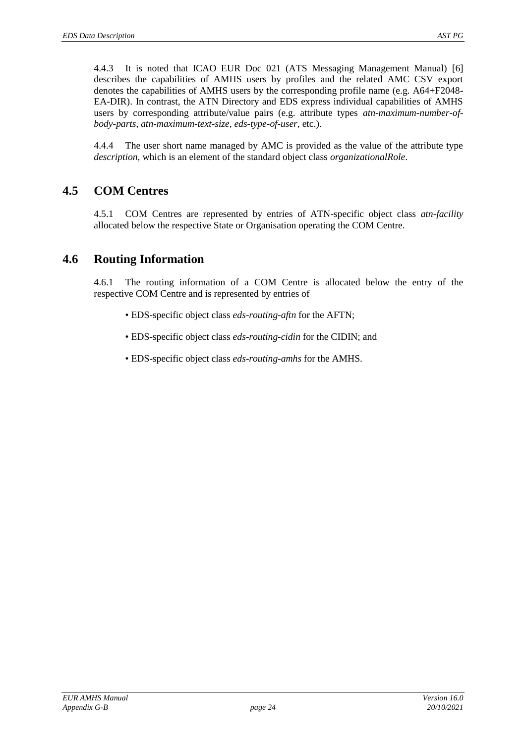4.4.3 It is noted that ICAO EUR Doc 021 (ATS Messaging Management Manual) [\[6\]](#page-3-5) describes the capabilities of AMHS users by profiles and the related AMC CSV export denotes the capabilities of AMHS users by the corresponding profile name (e.g. A64+F2048- EA-DIR). In contrast, the ATN Directory and EDS express individual capabilities of AMHS users by corresponding attribute/value pairs (e.g. attribute types *atn-maximum-number-ofbody-parts*, *atn-maximum-text-size*, *eds-type-of-user*, etc.).

4.4.4 The user short name managed by AMC is provided as the value of the attribute type *description*, which is an element of the standard object class *organizationalRole*.

# **4.5 COM Centres**

4.5.1 COM Centres are represented by entries of ATN-specific object class *atn-facility* allocated below the respective State or Organisation operating the COM Centre.

# **4.6 Routing Information**

4.6.1 The routing information of a COM Centre is allocated below the entry of the respective COM Centre and is represented by entries of

- EDS-specific object class *eds-routing-aftn* for the AFTN;
- EDS-specific object class *eds-routing-cidin* for the CIDIN; and
- EDS-specific object class *eds-routing-amhs* for the AMHS.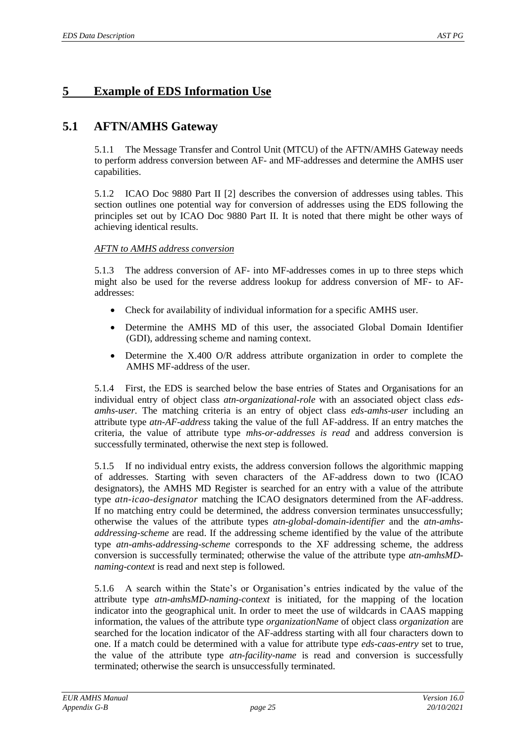# <span id="page-24-0"></span>**5 Example of EDS Information Use**

## **5.1 AFTN/AMHS Gateway**

5.1.1 The Message Transfer and Control Unit (MTCU) of the AFTN/AMHS Gateway needs to perform address conversion between AF- and MF-addresses and determine the AMHS user capabilities.

5.1.2 ICAO Doc 9880 Part II [\[2\]](#page-3-4) describes the conversion of addresses using tables. This section outlines one potential way for conversion of addresses using the EDS following the principles set out by ICAO Doc 9880 Part II. It is noted that there might be other ways of achieving identical results.

#### *AFTN to AMHS address conversion*

5.1.3 The address conversion of AF- into MF-addresses comes in up to three steps which might also be used for the reverse address lookup for address conversion of MF- to AFaddresses:

- Check for availability of individual information for a specific AMHS user.
- Determine the AMHS MD of this user, the associated Global Domain Identifier (GDI), addressing scheme and naming context.
- Determine the X.400 O/R address attribute organization in order to complete the AMHS MF-address of the user.

5.1.4 First, the EDS is searched below the base entries of States and Organisations for an individual entry of object class *atn-organizational-role* with an associated object class *edsamhs-user.* The matching criteria is an entry of object class *eds-amhs-user* including an attribute type *atn-AF-address* taking the value of the full AF-address. If an entry matches the criteria, the value of attribute type *mhs-or-addresses is read* and address conversion is successfully terminated, otherwise the next step is followed.

5.1.5 If no individual entry exists, the address conversion follows the algorithmic mapping of addresses. Starting with seven characters of the AF-address down to two (ICAO designators), the AMHS MD Register is searched for an entry with a value of the attribute type *atn-icao-designator* matching the ICAO designators determined from the AF-address. If no matching entry could be determined, the address conversion terminates unsuccessfully; otherwise the values of the attribute types *atn-global-domain-identifier* and the *atn-amhsaddressing-scheme* are read. If the addressing scheme identified by the value of the attribute type *atn-amhs-addressing-scheme* corresponds to the XF addressing scheme, the address conversion is successfully terminated; otherwise the value of the attribute type *atn-amhsMDnaming-context* is read and next step is followed.

5.1.6 A search within the State's or Organisation's entries indicated by the value of the attribute type *atn-amhsMD-naming-context* is initiated, for the mapping of the location indicator into the geographical unit. In order to meet the use of wildcards in CAAS mapping information, the values of the attribute type *organizationName* of object class *organization* are searched for the location indicator of the AF-address starting with all four characters down to one. If a match could be determined with a value for attribute type *eds-caas-entry* set to true, the value of the attribute type *atn-facility-name* is read and conversion is successfully terminated; otherwise the search is unsuccessfully terminated.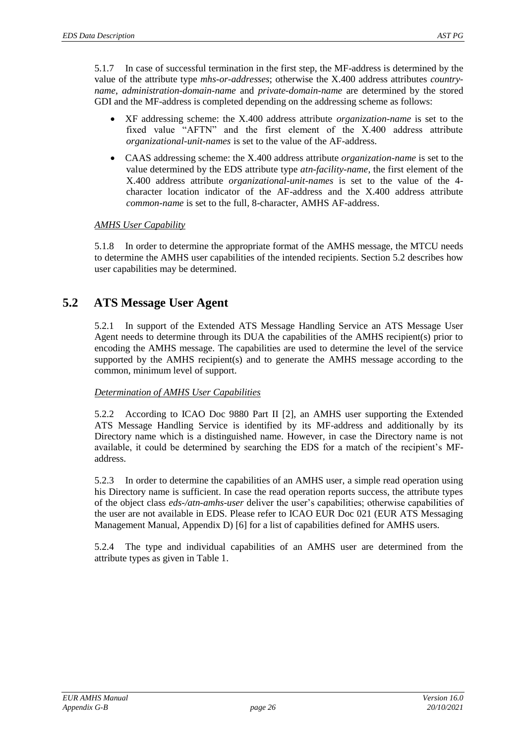5.1.7 In case of successful termination in the first step, the MF-address is determined by the value of the attribute type *mhs-or-addresses*; otherwise the X.400 address attributes *countryname*, *administration-domain-name* and *private-domain-name* are determined by the stored GDI and the MF-address is completed depending on the addressing scheme as follows:

- XF addressing scheme: the X.400 address attribute *organization-name* is set to the fixed value "AFTN" and the first element of the X.400 address attribute *organizational-unit-names* is set to the value of the AF-address.
- CAAS addressing scheme: the X.400 address attribute *organization-name* is set to the value determined by the EDS attribute type *atn-facility-name*, the first element of the X.400 address attribute *organizational-unit-names* is set to the value of the 4 character location indicator of the AF-address and the X.400 address attribute *common-name* is set to the full, 8-character, AMHS AF-address.

#### *AMHS User Capability*

5.1.8 In order to determine the appropriate format of the AMHS message, the MTCU needs to determine the AMHS user capabilities of the intended recipients. Section 5.2 describes how user capabilities may be determined.

#### **5.2 ATS Message User Agent**

5.2.1 In support of the Extended ATS Message Handling Service an ATS Message User Agent needs to determine through its DUA the capabilities of the AMHS recipient(s) prior to encoding the AMHS message. The capabilities are used to determine the level of the service supported by the AMHS recipient(s) and to generate the AMHS message according to the common, minimum level of support.

#### *Determination of AMHS User Capabilities*

5.2.2 According to ICAO Doc 9880 Part II [2], an AMHS user supporting the Extended ATS Message Handling Service is identified by its MF-address and additionally by its Directory name which is a distinguished name. However, in case the Directory name is not available, it could be determined by searching the EDS for a match of the recipient's MFaddress.

5.2.3 In order to determine the capabilities of an AMHS user, a simple read operation using his Directory name is sufficient. In case the read operation reports success, the attribute types of the object class *eds-/atn-amhs-user* deliver the user's capabilities; otherwise capabilities of the user are not available in EDS. Please refer to ICAO EUR Doc 021 (EUR ATS Messaging Management Manual, Appendix D) [\[6\]](#page-3-5) for a list of capabilities defined for AMHS users.

5.2.4 The type and individual capabilities of an AMHS user are determined from the attribute types as given i[n Table 1.](#page-26-0)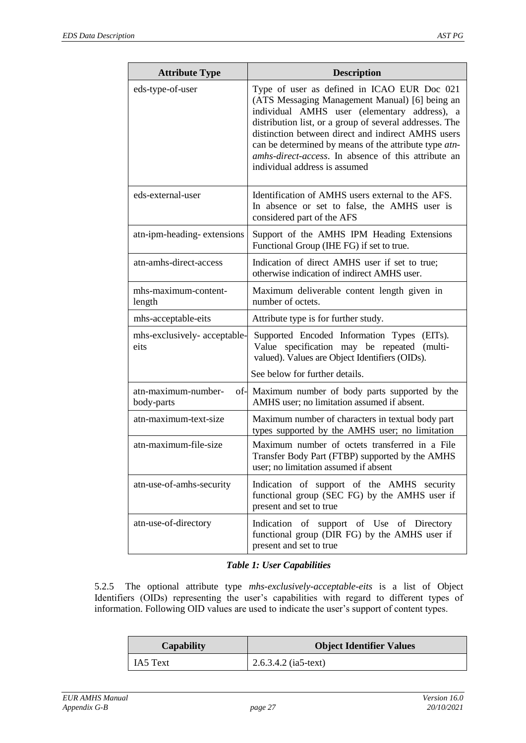| <b>Attribute Type</b>                | <b>Description</b>                                                                                                                                                                                                                                                                                                                                                                                              |
|--------------------------------------|-----------------------------------------------------------------------------------------------------------------------------------------------------------------------------------------------------------------------------------------------------------------------------------------------------------------------------------------------------------------------------------------------------------------|
| eds-type-of-user                     | Type of user as defined in ICAO EUR Doc 021<br>(ATS Messaging Management Manual) [6] being an<br>individual AMHS user (elementary address), a<br>distribution list, or a group of several addresses. The<br>distinction between direct and indirect AMHS users<br>can be determined by means of the attribute type atn-<br>amhs-direct-access. In absence of this attribute an<br>individual address is assumed |
| eds-external-user                    | Identification of AMHS users external to the AFS.<br>In absence or set to false, the AMHS user is<br>considered part of the AFS                                                                                                                                                                                                                                                                                 |
| atn-ipm-heading-extensions           | Support of the AMHS IPM Heading Extensions<br>Functional Group (IHE FG) if set to true.                                                                                                                                                                                                                                                                                                                         |
| atn-amhs-direct-access               | Indication of direct AMHS user if set to true;<br>otherwise indication of indirect AMHS user.                                                                                                                                                                                                                                                                                                                   |
| mhs-maximum-content-<br>length       | Maximum deliverable content length given in<br>number of octets.                                                                                                                                                                                                                                                                                                                                                |
| mhs-acceptable-eits                  | Attribute type is for further study.                                                                                                                                                                                                                                                                                                                                                                            |
| mhs-exclusively- acceptable-<br>eits | Supported Encoded Information Types (EITs).<br>Value specification may be repeated<br>(multi-<br>valued). Values are Object Identifiers (OIDs).                                                                                                                                                                                                                                                                 |
|                                      | See below for further details.                                                                                                                                                                                                                                                                                                                                                                                  |
| atn-maximum-number-<br>body-parts    | of- Maximum number of body parts supported by the<br>AMHS user; no limitation assumed if absent.                                                                                                                                                                                                                                                                                                                |
| atn-maximum-text-size                | Maximum number of characters in textual body part<br>types supported by the AMHS user; no limitation                                                                                                                                                                                                                                                                                                            |
| atn-maximum-file-size                | Maximum number of octets transferred in a File<br>Transfer Body Part (FTBP) supported by the AMHS<br>user; no limitation assumed if absent                                                                                                                                                                                                                                                                      |
| atn-use-of-amhs-security             | Indication of support of the AMHS security<br>functional group (SEC FG) by the AMHS user if<br>present and set to true                                                                                                                                                                                                                                                                                          |
| atn-use-of-directory                 | Indication of support of Use of Directory<br>functional group (DIR FG) by the AMHS user if<br>present and set to true                                                                                                                                                                                                                                                                                           |

#### *Table 1: User Capabilities*

<span id="page-26-0"></span>5.2.5 The optional attribute type *mhs-exclusively-acceptable-eits* is a list of Object Identifiers (OIDs) representing the user's capabilities with regard to different types of information. Following OID values are used to indicate the user's support of content types.

| <b>Capability</b> | <b>Object Identifier Values</b> |
|-------------------|---------------------------------|
| IA5 Text          | $2.6.3.4.2$ (ia5-text)          |